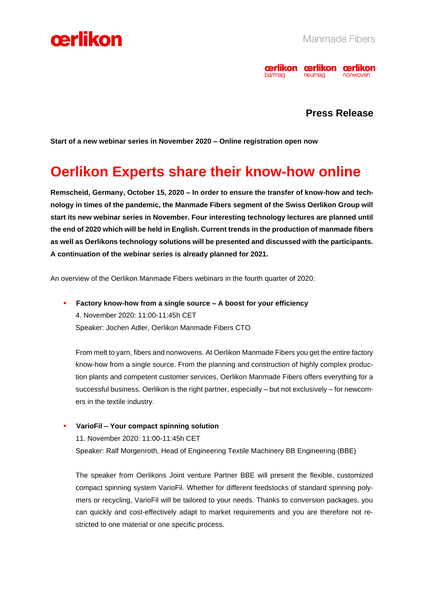



### **Press Release**

**Start of a new webinar series in November 2020 – Online registration open now**

### **Oerlikon Experts share their know-how online**

**Remscheid, Germany, October 15, 2020 – In order to ensure the transfer of know-how and technology in times of the pandemic, the Manmade Fibers segment of the Swiss Oerlikon Group will start its new webinar series in November. Four interesting technology lectures are planned until the end of 2020 which will be held in English. Current trends in the production of manmade fibers as well as Oerlikons technology solutions will be presented and discussed with the participants. A continuation of the webinar series is already planned for 2021.**

An overview of the Oerlikon Manmade Fibers webinars in the fourth quarter of 2020:

▪ **Factory know-how from a single source – A boost for your efficiency** 4. November 2020: 11:00-11:45h CET Speaker: Jochen Adler, Oerlikon Manmade Fibers CTO

From melt to yarn, fibers and nonwovens. At Oerlikon Manmade Fibers you get the entire factory know-how from a single source. From the planning and construction of highly complex production plants and competent customer services, Oerlikon Manmade Fibers offers everything for a successful business. Oerlikon is the right partner, especially – but not exclusively – for newcomers in the textile industry.

▪ **VarioFil – Your compact spinning solution** 11. November 2020: 11:00-11:45h CET Speaker: Ralf Morgenroth, Head of Engineering Textile Machinery BB Engineering (BBE)

The speaker from Oerlikons Joint venture Partner BBE will present the flexible, customized compact spinning system VarioFil. Whether for different feedstocks of standard spinning polymers or recycling, VarioFil will be tailored to your needs. Thanks to conversion packages, you can quickly and cost-effectively adapt to market requirements and you are therefore not restricted to one material or one specific process.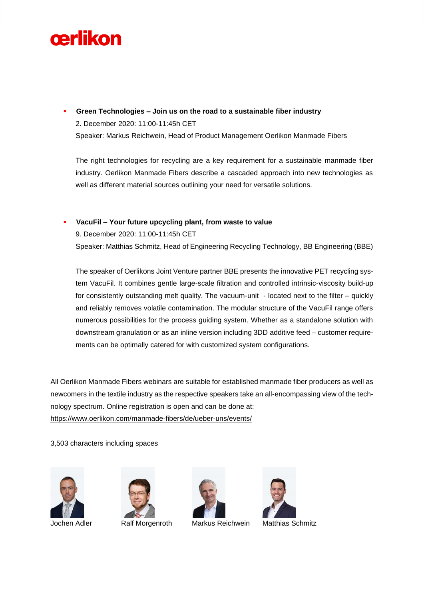# cerlikon

▪ **Green Technologies – Join us on the road to a sustainable fiber industry**  2. December 2020: 11:00-11:45h CET Speaker: Markus Reichwein, Head of Product Management Oerlikon Manmade Fibers

The right technologies for recycling are a key requirement for a sustainable manmade fiber industry. Oerlikon Manmade Fibers describe a cascaded approach into new technologies as well as different material sources outlining your need for versatile solutions.

#### ▪ **VacuFil – Your future upcycling plant, from waste to value**

9. December 2020: 11:00-11:45h CET

Speaker: Matthias Schmitz, Head of Engineering Recycling Technology, BB Engineering (BBE)

The speaker of Oerlikons Joint Venture partner BBE presents the innovative PET recycling system VacuFil. It combines gentle large-scale filtration and controlled intrinsic-viscosity build-up for consistently outstanding melt quality. The vacuum-unit - located next to the filter – quickly and reliably removes volatile contamination. The modular structure of the VacuFil range offers numerous possibilities for the process guiding system. Whether as a standalone solution with downstream granulation or as an inline version including 3DD additive feed – customer requirements can be optimally catered for with customized system configurations.

All Oerlikon Manmade Fibers webinars are suitable for established manmade fiber producers as well as newcomers in the textile industry as the respective speakers take an all-encompassing view of the technology spectrum. Online registration is open and can be done at: [https://www.oerlikon.com/manmade-fibers/de/ueber-uns/events/](https://www.oerlikon.com/manmade-fibers/de/ueber-uns/events/?categories%5B0%5D=110092)

3,503 characters including spaces





Jochen Adler Ralf Morgenroth Markus Reichwein Matthias Schmitz